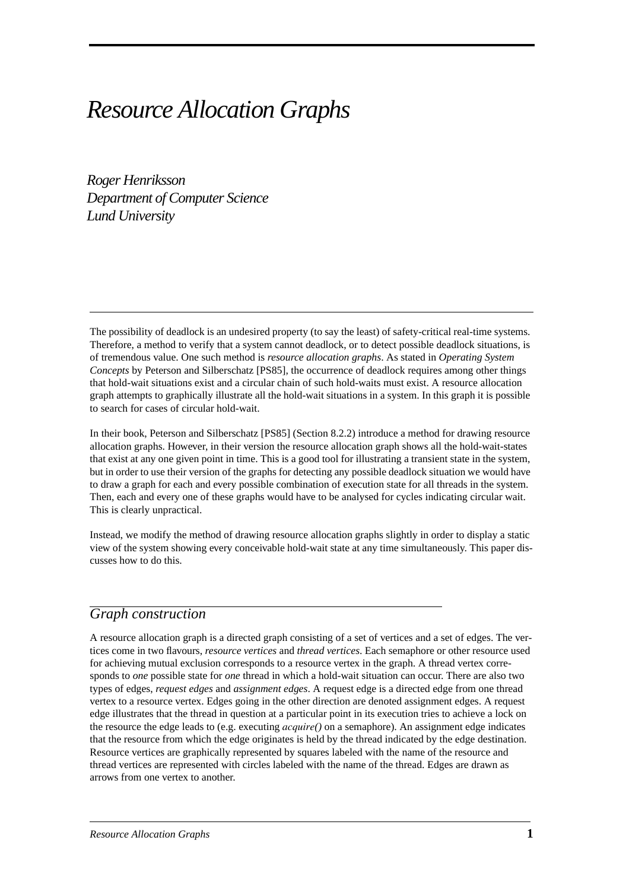# *Resource Allocation Graphs*

*Roger Henriksson Department of Computer Science Lund University*

The possibility of deadlock is an undesired property (to say the least) of safety-critical real-time systems. Therefore, a method to verify that a system cannot deadlock, or to detect possible deadlock situations, is of tremendous value. One such method is *resource allocation graphs*. As stated in *Operating System Concepts* by Peterson and Silberschatz [PS85], the occurrence of deadlock requires among other things that hold-wait situations exist and a circular chain of such hold-waits must exist. A resource allocation graph attempts to graphically illustrate all the hold-wait situations in a system. In this graph it is possible to search for cases of circular hold-wait.

In their book, Peterson and Silberschatz [PS85] (Section 8.2.2) introduce a method for drawing resource allocation graphs. However, in their version the resource allocation graph shows all the hold-wait-states that exist at any one given point in time. This is a good tool for illustrating a transient state in the system, but in order to use their version of the graphs for detecting any possible deadlock situation we would have to draw a graph for each and every possible combination of execution state for all threads in the system. Then, each and every one of these graphs would have to be analysed for cycles indicating circular wait. This is clearly unpractical.

Instead, we modify the method of drawing resource allocation graphs slightly in order to display a static view of the system showing every conceivable hold-wait state at any time simultaneously. This paper discusses how to do this.

### *Graph construction*

A resource allocation graph is a directed graph consisting of a set of vertices and a set of edges. The vertices come in two flavours, *resource vertices* and *thread vertices*. Each semaphore or other resource used for achieving mutual exclusion corresponds to a resource vertex in the graph. A thread vertex corresponds to *one* possible state for *one* thread in which a hold-wait situation can occur. There are also two types of edges, *request edges* and *assignment edges*. A request edge is a directed edge from one thread vertex to a resource vertex. Edges going in the other direction are denoted assignment edges. A request edge illustrates that the thread in question at a particular point in its execution tries to achieve a lock on the resource the edge leads to (e.g. executing *acquire()* on a semaphore). An assignment edge indicates that the resource from which the edge originates is held by the thread indicated by the edge destination. Resource vertices are graphically represented by squares labeled with the name of the resource and thread vertices are represented with circles labeled with the name of the thread. Edges are drawn as arrows from one vertex to another.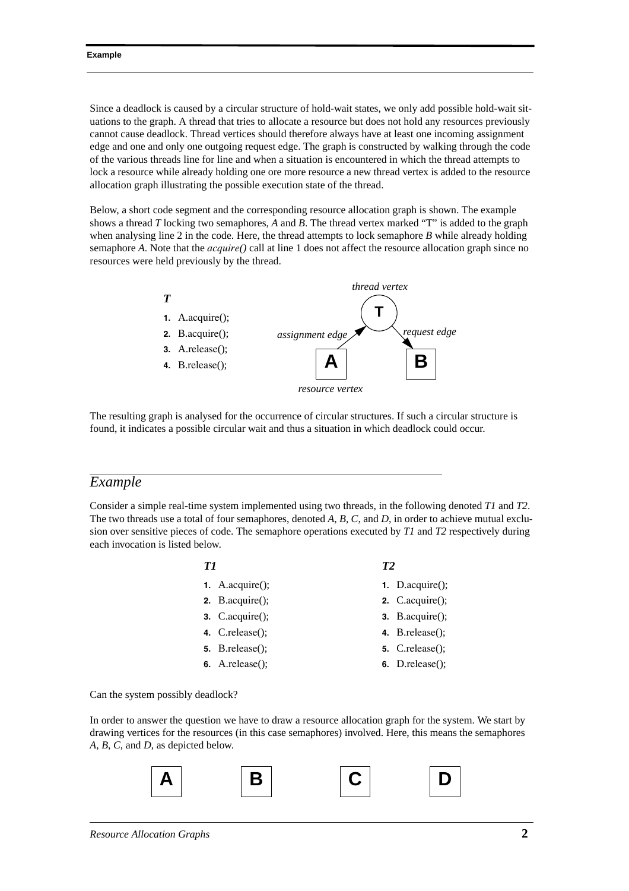#### **Example**

Since a deadlock is caused by a circular structure of hold-wait states, we only add possible hold-wait situations to the graph. A thread that tries to allocate a resource but does not hold any resources previously cannot cause deadlock. Thread vertices should therefore always have at least one incoming assignment edge and one and only one outgoing request edge. The graph is constructed by walking through the code of the various threads line for line and when a situation is encountered in which the thread attempts to lock a resource while already holding one ore more resource a new thread vertex is added to the resource allocation graph illustrating the possible execution state of the thread.

Below, a short code segment and the corresponding resource allocation graph is shown. The example shows a thread *T* locking two semaphores, *A* and *B*. The thread vertex marked "T" is added to the graph when analysing line 2 in the code. Here, the thread attempts to lock semaphore *B* while already holding semaphore *A*. Note that the *acquire()* call at line 1 does not affect the resource allocation graph since no resources were held previously by the thread.



The resulting graph is analysed for the occurrence of circular structures. If such a circular structure is found, it indicates a possible circular wait and thus a situation in which deadlock could occur.

### *Example*

Consider a simple real-time system implemented using two threads, in the following denoted *T1* and *T2*. The two threads use a total of four semaphores, denoted *A*, *B*, *C*, and *D*, in order to achieve mutual exclusion over sensitive pieces of code. The semaphore operations executed by *T1* and *T2* respectively during each invocation is listed below.

### *T1*

- **1.** A.acquire();
- **2.** B.acquire();
- **3.** C.acquire();
- **4.** C.release();
- **5.** B.release();
- **6.** A.release();

### *T2*

- **1.** D.acquire();
- **2.** C.acquire();
- **3.** B.acquire();
- **4.** B.release();
- **5.** C.release();
- **6.** D.release();

Can the system possibly deadlock?

In order to answer the question we have to draw a resource allocation graph for the system. We start by drawing vertices for the resources (in this case semaphores) involved. Here, this means the semaphores *A*, *B*, *C*, and *D*, as depicted below.

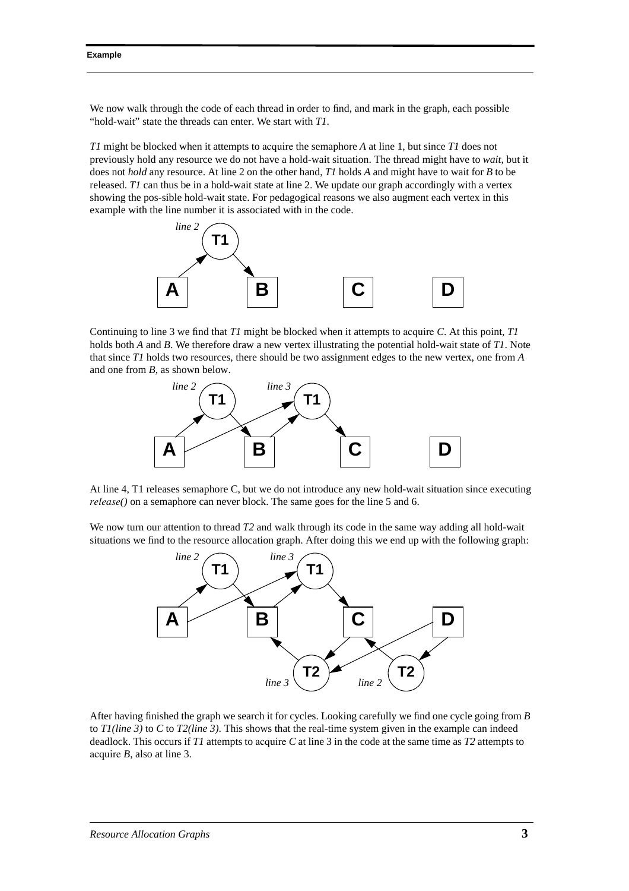We now walk through the code of each thread in order to find, and mark in the graph, each possible "hold-wait" state the threads can enter. We start with *T1*.

*T1* might be blocked when it attempts to acquire the semaphore *A* at line 1, but since *T1* does not previously hold any resource we do not have a hold-wait situation. The thread might have to *wait*, but it does not *hold* any resource. At line 2 on the other hand, *T1* holds *A* and might have to wait for *B* to be released. *T1* can thus be in a hold-wait state at line 2. We update our graph accordingly with a vertex showing the pos-sible hold-wait state. For pedagogical reasons we also augment each vertex in this example with the line number it is associated with in the code.



Continuing to line 3 we find that *T1* might be blocked when it attempts to acquire *C*. At this point, *T1* holds both *A* and *B*. We therefore draw a new vertex illustrating the potential hold-wait state of *T1*. Note that since *T1* holds two resources, there should be two assignment edges to the new vertex, one from *A* and one from *B*, as shown below.



At line 4, T1 releases semaphore C, but we do not introduce any new hold-wait situation since executing *release()* on a semaphore can never block. The same goes for the line 5 and 6.

We now turn our attention to thread *T2* and walk through its code in the same way adding all hold-wait situations we find to the resource allocation graph. After doing this we end up with the following graph:



After having finished the graph we search it for cycles. Looking carefully we find one cycle going from *B* to *T1(line 3)* to *C* to *T2(line 3)*. This shows that the real-time system given in the example can indeed deadlock. This occurs if *T1* attempts to acquire *C* at line 3 in the code at the same time as *T2* attempts to acquire *B*, also at line 3.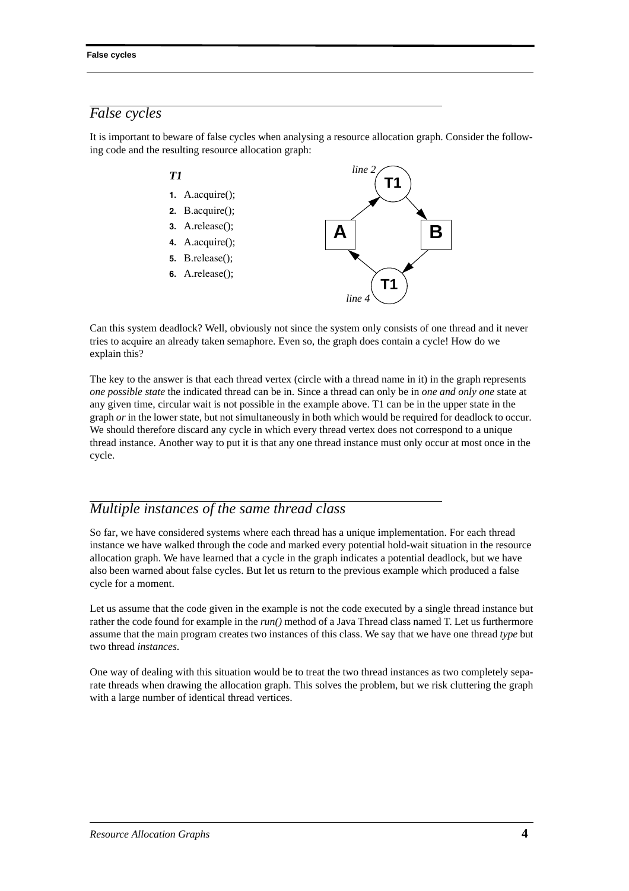## *False cycles*

It is important to beware of false cycles when analysing a resource allocation graph. Consider the following code and the resulting resource allocation graph:



Can this system deadlock? Well, obviously not since the system only consists of one thread and it never tries to acquire an already taken semaphore. Even so, the graph does contain a cycle! How do we explain this?

The key to the answer is that each thread vertex (circle with a thread name in it) in the graph represents *one possible state* the indicated thread can be in. Since a thread can only be in *one and only one* state at any given time, circular wait is not possible in the example above. T1 can be in the upper state in the graph *or* in the lower state, but not simultaneously in both which would be required for deadlock to occur. We should therefore discard any cycle in which every thread vertex does not correspond to a unique thread instance. Another way to put it is that any one thread instance must only occur at most once in the cycle.

### *Multiple instances of the same thread class*

So far, we have considered systems where each thread has a unique implementation. For each thread instance we have walked through the code and marked every potential hold-wait situation in the resource allocation graph. We have learned that a cycle in the graph indicates a potential deadlock, but we have also been warned about false cycles. But let us return to the previous example which produced a false cycle for a moment.

Let us assume that the code given in the example is not the code executed by a single thread instance but rather the code found for example in the *run()* method of a Java Thread class named T. Let us furthermore assume that the main program creates two instances of this class. We say that we have one thread *type* but two thread *instances*.

One way of dealing with this situation would be to treat the two thread instances as two completely separate threads when drawing the allocation graph. This solves the problem, but we risk cluttering the graph with a large number of identical thread vertices.